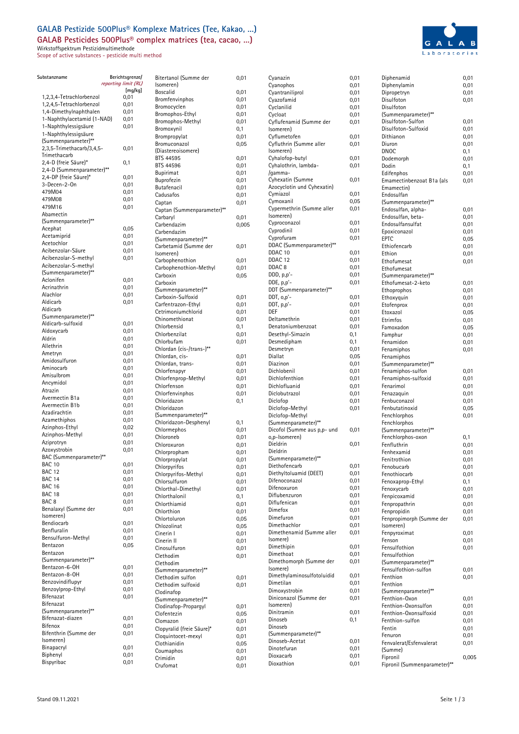## **GALAB Pestizide 500Plus® Komplexe Matrices (Tee, Kakao, …) GALAB Pesticides 500Plus® complex matrices (tea, cacao, …)**

Wirkstoffspektrum Pestizidmultimethode

Scope of active substances - pesticide multi method



| Substanzname                                       | Berichtsgrenze/      | Bitertanol (Su                |
|----------------------------------------------------|----------------------|-------------------------------|
|                                                    | reporting limit (RL) | Isomeren)                     |
| 1,2,3,4-Tetrachlorbenzol                           | [mg/kg]<br>0,01      | Boscalid                      |
| 1,2,4,5-Tetrachlorbenzol                           | 0,01                 | Bromfenvinpl                  |
| 1,4-Dimethylnaphthalen                             | 0,01                 | Bromocyclen                   |
| 1-Naphthylacetamid (1-NAD)                         | 0,01                 | Bromophos-E                   |
| 1-Naphthylessigsäure                               | 0,01                 | Bromophos-N                   |
| 1-Naphthylessigsäure                               |                      | Bromoxynil<br>Brompropylat    |
| (Summenparameter)**                                |                      | Bromuconazo                   |
| 2,3,5-Trimethacarb/3,4,5-                          | 0,01                 | (Diastereoisor                |
| Trimethacarb                                       |                      | BTS 44595                     |
| 2,4-D (freie Säure)*                               | 0,1                  | BTS 44596                     |
| 2,4-D (Summenparameter)**<br>2,4-DP (freie Säure)* |                      | <b>Bupirimat</b>              |
| 3-Decen-2-On                                       | 0,01<br>0,01         | Buprofezin                    |
| 479M04                                             | 0,01                 | Butafenacil                   |
| 479M08                                             | 0,01                 | Cadusafos                     |
| 479M16                                             | 0,01                 | Captan                        |
| Abamectin                                          |                      | Captan (Sumı<br>Carbaryl      |
| (Summenparameter)**                                |                      | Carbendazim                   |
| Acephat                                            | 0,05                 | Carbendazim                   |
| Acetamiprid                                        | 0,01                 | (Summenpara                   |
| Acetochlor                                         | 0,01                 | Carbetamid (                  |
| Acibenzolar-Säure<br>Acibenzolar-S-methyl          | 0,01                 | Isomeren)                     |
| Acibenzolar-S-methyl                               | 0,01                 | Carbophenotl                  |
| (Summenparameter)**                                |                      | Carbophenotl                  |
| Aclonifen                                          | 0,01                 | Carboxin                      |
| Acrinathrin                                        | 0,01                 | Carboxin                      |
| Alachlor                                           | 0,01                 | (Summenpara<br>Carboxin-Sult  |
| Aldicarb                                           | 0,01                 | Carfentrazon                  |
| Aldicarb                                           |                      | Cetrimonium                   |
| (Summenparameter)**                                |                      | Chinomethior                  |
| Aldicarb-sulfoxid                                  | 0,01                 | Chlorbensid                   |
| Aldoxycarb                                         | 0,01                 | Chlorbenzilat                 |
| Aldrin                                             | 0,01                 | Chlorbufam                    |
| Allethrin<br>Ametryn                               | 0,01<br>0,01         | Chlordan (cis-                |
| Amidosulfuron                                      | 0,01                 | Chlordan, cis-                |
| Aminocarb                                          | 0,01                 | Chlordan, tra                 |
| Amisulbrom                                         | 0,01                 | Chlorfenapyr                  |
| Ancymidol                                          | 0,01                 | Chlorfenprop-<br>Chlorfenson  |
| Atrazin                                            | 0,01                 | Chlorfenvinpl                 |
| Avermectin B1a                                     | 0,01                 | Chloridazon                   |
| Avermectin B1b                                     | 0,01                 | Chloridazon                   |
| Azadirachtin                                       | 0,01                 | (Summenpara                   |
| Azamethiphos                                       | 0,01                 | Chloridazon-l                 |
| Azinphos-Ethyl                                     | 0,02                 | Chlormephos                   |
| Azinphos-Methyl<br>Aziprotryn                      | 0,01<br>0,01         | Chloroneb                     |
| Azoxystrobin                                       | 0,01                 | Chloroxuron                   |
| BAC (Summenparameter)**                            |                      | Chlorprophan                  |
| <b>BAC 10</b>                                      | 0,01                 | Chlorpropylat<br>Chlorpyrifos |
| <b>BAC 12</b>                                      | 0,01                 | Chlorpyrifos-                 |
| BAC 14                                             | 0,01                 | Chlorsulfuron                 |
| <b>BAC 16</b>                                      | 0,01                 | Chlorthal-Din                 |
| <b>BAC 18</b>                                      | 0,01                 | Chlorthalonil                 |
| BAC <sub>8</sub>                                   | 0,01                 | Chlorthiamid                  |
| Benalaxyl (Summe der<br>Isomeren)                  | 0,01                 | Chlorthion                    |
| Bendiocarb                                         | 0,01                 | Chlortoluron                  |
| Benfluralin                                        | 0,01                 | Chlozolinat                   |
| Bensulfuron-Methyl                                 | 0,01                 | Cinerin I                     |
| Bentazon                                           | 0,05                 | Cinerin II                    |
| Bentazon                                           |                      | Cinosulfuron<br>Clethodim     |
| (Summenparameter)**                                |                      | Clethodim                     |
| Bentazon-6-OH                                      | 0,01                 | (Summenpara                   |
| Bentazon-8-OH                                      | 0,01                 | Clethodim su                  |
| Benzovindiflupyr                                   | 0,01                 | Clethodim su                  |
| Benzoylprop-Ethyl                                  | 0,01                 | Clodinafop                    |
| Bifenazat                                          | 0,01                 | (Summenpara                   |
| Bifenazat<br>(Summenparameter)**                   |                      | Clodinafop-P                  |
| Bifenazat-diazen                                   | 0,01                 | Clofentezin                   |
| Bifenox                                            | 0,01                 | Clomazon                      |
| Bifenthrin (Summe der                              | 0,01                 | Clopyralid (fro               |
| Isomeren)                                          |                      | Cloquintocet-<br>Clothianidin |
| Binapacryl                                         | 0,01                 | Coumaphos                     |
| Biphenyl                                           | 0,01                 | Crimidin                      |
| Bispyribac                                         | 0,01                 | Crufomat                      |

| Bitertanol (Summe der      | 0,01         |
|----------------------------|--------------|
| Isomeren)                  |              |
| Boscalid                   | 0,01         |
| Bromfenvinphos             | 0,01         |
| Bromocyclen                | 0,01         |
| Bromophos-Ethyl            | 0,01         |
| Bromophos-Methyl           | 0,01         |
| Bromoxynil                 | 0,1          |
| Brompropylat               | 0,01         |
|                            |              |
| Bromuconazol               | 0,05         |
| (Diastereoisomere)         |              |
| BTS 44595                  | 0,01         |
| BTS 44596                  | 0,01         |
| Bupirimat                  | 0,01         |
| Buprofezin                 | 0,01         |
| Butafenacil                | 0,01         |
| Cadusafos                  | 0,01         |
| Captan                     | 0,01         |
|                            |              |
| Captan (Summenparameter)** |              |
| Carbaryl                   | 0,01         |
| Carbendazim                | 0,005        |
| Carbendazim                |              |
| (Summenparameter)**        |              |
| Carbetamid (Summe der      | 0,01         |
| Isomeren)                  |              |
| Carbophenothion            | 0,01         |
| Carbophenothion-Methyl     | 0,01         |
| Carboxin                   | 0,05         |
| Carboxin                   |              |
|                            |              |
| (Summenparameter)**        |              |
| Carboxin-Sulfoxid          | 0,01         |
| Carfentrazon-Ethyl         | 0,01         |
| Cetrimoniumchlorid         | 0,01         |
| Chinomethionat             | 0,01         |
| Chlorbensid                | 0,1          |
| Chlorbenzilat              | 0,01         |
| Chlorbufam                 | 0,01         |
| Chlordan (cis-/trans-)**   |              |
|                            |              |
| Chlordan, cis-             | 0,01         |
| Chlordan, trans-           | 0,01         |
| Chlorfenapyr               | 0,01         |
| Chlorfenprop-Methyl        | 0,01         |
| Chlorfenson                | 0,01         |
| Chlorfenvinphos            | 0,01         |
| Chloridazon                | 0,1          |
| Chloridazon                |              |
| (Summenparameter)**        |              |
| Chloridazon-Desphenyl      | 0,1          |
| Chlormephos                | 0,01         |
|                            |              |
| Chloroneb                  | 0,01         |
| Chloroxuron                | 0,01         |
| Chlorpropham               | 0,01         |
| Chlorpropylat              | 0,01         |
| Chlorpyrifos               | 0,01         |
| Chlorpyrifos-Methyl        | 0,01         |
| Chlorsulfuron              | 0,01         |
| Chlorthal-Dimethyl         | 0,01         |
| Chlorthalonil              | 0,1          |
| Chlorthiamid               |              |
|                            | 0,01         |
| Chlorthion                 | 0,01         |
| Chlortoluron               | 0,05         |
| Chlozolinat                | 0,05         |
| Cinerin I                  | 0,01         |
| Cinerin II                 | 0,01         |
| Cinosulfuron               | 0,01         |
| Clethodim                  | 0,01         |
| Clethodim                  |              |
| (Summenparameter)**        |              |
| Clethodim sulfon           |              |
|                            | 0,01         |
| Clethodim sulfoxid         | 0,01         |
| Clodinafop                 |              |
| (Summenparameter)**        |              |
| Clodinafop-Propargyl       | 0,01         |
| Clofentezin                | 0,05         |
| Clomazon                   | 0,01         |
| Clopyralid (freie Säure)*  | 0,01         |
| Cloquintocet-mexyl         | 0,01         |
|                            |              |
|                            |              |
| Clothianidin               | 0,05         |
| Coumaphos                  | 0,01         |
| Crimidin<br>Crufomat       | 0,01<br>0,01 |

| Cyanazin                    | 0,01 |
|-----------------------------|------|
| Cyanophos                   | 0,01 |
| Cyantraniliprol             | 0,01 |
|                             |      |
| Cyazofamid                  | 0,01 |
| Cyclanilid                  | 0,01 |
| Cycloat                     | 0,01 |
|                             |      |
| Cyflufenamid (Summe der     | 0,01 |
| Isomeren)                   |      |
| Cyflumetofen                | 0,01 |
|                             |      |
| Cyfluthrin (Summe aller     | 0,01 |
| Isomeren)                   |      |
| Cyhalofop-butyl             | 0,01 |
| Cyhalothrin, lambda-        | 0,01 |
|                             |      |
| /gamma-                     |      |
| Cyhexatin (Summe            | 0,01 |
| Azocyclotin und Cyhexatin)  |      |
|                             |      |
| Cymiazol                    | 0,01 |
| Cymoxanil                   | 0,05 |
| Cypermethrin (Summe aller   | 0,01 |
|                             |      |
| Isomeren)                   |      |
| Cyproconazol                | 0,01 |
| Cyprodinil                  | 0,01 |
|                             |      |
| Cyprofuram                  | 0,01 |
| DDAC (Summenparameter)**    |      |
| DDAC <sub>10</sub>          | 0,01 |
| DDAC 12                     |      |
|                             | 0,01 |
| DDAC <sub>8</sub>           | 0,01 |
| DDD, p,p'-                  | 0,01 |
|                             |      |
| DDE, p,p'-                  | 0,01 |
| DDT (Summenparameter)**     |      |
| DDT, o,p'-                  | 0,01 |
|                             |      |
| DDT, p,p'-                  | 0,01 |
| DEF                         | 0,01 |
| Deltamethrin                | 0,01 |
|                             |      |
| Denatoniumbenzoat           | 0,01 |
| Desethyl-Simazin            | 0,1  |
| Desmedipham                 |      |
|                             | 0,1  |
| Desmetryn                   | 0,01 |
| Diallat                     | 0,05 |
| Diazinon                    | 0,01 |
|                             |      |
| Dichlobenil                 | 0,01 |
| Dichlofenthion              | 0,01 |
| Dichlofluanid               | 0,01 |
|                             |      |
| Diclobutrazol               | 0,01 |
| Diclofop                    | 0,01 |
| Diclofop-Methyl             | 0,01 |
|                             |      |
| Diclofop-Methyl             |      |
| (Summenparameter)**         |      |
| Dicofol (Summe aus p,p- und | 0,01 |
|                             |      |
| o,p-Isomeren)               |      |
| Dieldrin                    | 0,01 |
| Dieldrin                    |      |
| (Summenparameter)**         |      |
|                             |      |
| Diethofencarb               | 0,01 |
| Diethyltoluamid (DEET)      | 0,01 |
| Difenoconazol               | 0,01 |
|                             |      |
| Difenoxuron                 | 0,01 |
| Diflubenzuron               | 0,01 |
| Diflufenican                |      |
|                             | 0,01 |
| Dimefox                     | 0,01 |
| Dimefuron                   | 0,01 |
| Dimethachlor                | 0,01 |
|                             |      |
| Dimethenamid (Summe aller   | 0,01 |
| Isomere)                    |      |
| Dimethipin                  |      |
|                             | 0,01 |
| Dimethoat                   | 0,01 |
| Dimethomorph (Summe der     | 0,01 |
| (Isomere                    |      |
|                             |      |
| Dimethylaminosulfotoluidid  | 0,01 |
| Dimetilan                   | 0,01 |
| Dimoxystrobin               | 0,01 |
|                             |      |
| Diniconazol (Summe der      | 0,01 |
| Isomeren)                   |      |
| Dinitramin                  | 0,01 |
|                             |      |
| Dinoseb                     | 0,1  |
| Dinoseb                     |      |
| (Summenparameter)**         |      |
| Dinoseb-Acetat              |      |
|                             | 0,01 |
| Dinotefuran                 | 0,01 |
| Dioxacarb                   | 0,01 |
|                             |      |
| Dioxathion                  | 0,01 |

| Diphenamid                            | 0,01         |
|---------------------------------------|--------------|
| Diphenylamin                          | 0,01         |
| Dipropetryn                           | 0,01         |
| Disulfoton<br>Disulfoton              | 0,01         |
| (Summenparameter)**                   |              |
| Disulfoton-Sulfon                     | 0,01         |
| Disulfoton-Sulfoxid                   | 0,01         |
| Dithianon                             | 0,01         |
| Diuron                                | 0,01         |
| DNOC                                  | 0,1          |
| Dodemorph                             | 0,01         |
| Dodin                                 | 0,1          |
| Edifenphos                            | 0,01         |
| Emamectinbenzoat B1a (als             | 0,01         |
| Emamectin)                            |              |
| Endosulfan                            |              |
| (Summenparameter)**                   |              |
| Endosulfan, alpha-                    | 0,01         |
| Endosulfan, beta-<br>Endosulfansulfat | 0,01         |
| Epoxiconazol                          | 0,01<br>0,01 |
| <b>EPTC</b>                           | 0,05         |
| Ethiofencarb                          | 0,01         |
| Ethion                                | 0,01         |
| Ethofumesat                           | 0,01         |
| Ethofumesat                           |              |
| (Summenparameter)**                   |              |
| Ethofumesat-2-keto                    | 0,01         |
| Ethoprophos                           | 0,01         |
| Ethoxyquin                            | 0,01         |
| Etofenprox                            | 0,01         |
| Etoxazol                              | 0,05         |
| Etrimfos                              | 0,01         |
| Famoxadon                             | 0,05         |
| Famphur                               | 0,01         |
| Fenamidon                             | 0,01         |
| Fenamiphos                            | 0,01         |
| Fenamiphos                            |              |
| (Summenparameter)**                   |              |
| Fenamiphos-sulfon                     | 0,01         |
| Fenamiphos-sulfoxid<br>Fenarimol      | 0,01         |
| Fenazaquin                            | 0,01<br>0,01 |
| Fenbuconazol                          | 0,01         |
| Fenbutatinoxid                        | 0,05         |
| Fenchlorphos                          | 0,01         |
| Fenchlorphos                          |              |
| (Summenparameter)**                   |              |
| Fenchlorphos-oxon                     | 0,1          |
| Fenfluthrin                           | 0,01         |
| Fenhexamid                            | 0,01         |
| Fenitrothion                          | 0,01         |
| Fenobucarb                            | 0,01         |
| Fenothiocarb                          | 0,01         |
| Fenoxaprop-Ethyl                      | 0,1          |
| Fenoxycarb                            | 0,01         |
| Fenpicoxamid                          | 0,01         |
| Fenpropathrin                         | 0,01         |
| Fenpropidin                           | 0,01         |
| Fenpropimorph (Summe der              | 0,01         |
| Isomeren)                             |              |
| Fenpyroximat                          | 0,01<br>0,01 |
| Fenson<br>Fensulfothion               | 0,01         |
| Fensulfothion                         |              |
| (Summenparameter)**                   |              |
| Fensulfothion-sulfon                  | 0,01         |
| Fenthion                              | 0,01         |
| Fenthion                              |              |
| (Summenparameter)**                   |              |
| Fenthion-Oxon                         | 0,01         |
| Fenthion-Oxonsulfon                   | 0,01         |
| Fenthion-Oxonsulfoxid                 | 0,01         |
| Fenthion-sulfon                       | 0,01         |
| Fentin                                | 0,01         |
| Fenuron                               | 0,01         |
| Fenvalerat/Esfenvalerat               | 0,01         |
| (Summe)                               |              |
| Fipronil                              | 0,005        |
| Fipronil (Summenparameter)**          |              |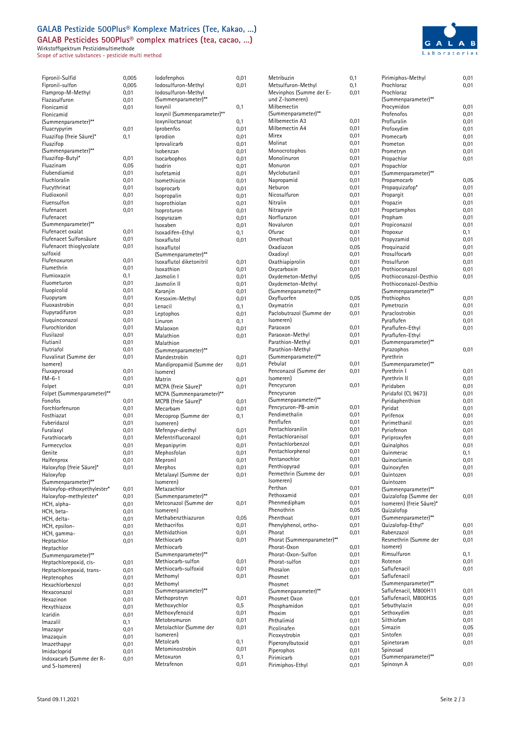# **GALAB Pestizide 500Plus® Komplexe Matrices (Tee, Kakao, …)**

**GALAB Pesticides 500Plus® complex matrices (tea, cacao, …)**

Wirkstoffspektrum Pestizidmultimethode Scope of active substances - pesticide multi method



| Fipronil-Sulfid                                       | 0,005        |
|-------------------------------------------------------|--------------|
| Fipronil-sulfon<br>Flamprop-M-Methyl                  | 0,005        |
| Flazasulfuron                                         | 0,01<br>0,01 |
| Flonicamid                                            | 0,01         |
| Flonicamid                                            |              |
| (Summenparameter)**                                   |              |
| Fluacrypyrim<br>Fluazifop (freie Säure)*              | 0,01<br>0,1  |
| Fluazifop                                             |              |
| (Summenparameter)**                                   |              |
| Fluazifop-Butyl*<br>Fluazinam                         | 0,01         |
| Flubendiamid                                          | 0,05<br>0,01 |
| Fluchloralin                                          | 0,01         |
| Flucythrinat                                          | 0,01         |
| Fludioxonil                                           | 0,01         |
| Fluensulfon                                           | 0,01         |
| Flufenacet<br>Flufenacet                              | 0,01         |
| (Summenparameter)**                                   |              |
| Flufenacet oxalat                                     | 0,01         |
| Flufenacet Sulfonsäure                                | 0,01         |
| Flufenacet thioglycolate<br>sulfoxid                  | 0,01         |
| Flufenoxuron                                          | 0,01         |
| Flumethrin                                            | 0,01         |
| Flumioxazin                                           | 0,1          |
| Fluometuron                                           | 0,01         |
| Fluopicolid<br>Fluopyram                              | 0,01<br>0,01 |
| Fluoxastrobin                                         | 0,01         |
| Flupyradifuron                                        | 0,01         |
| Fluquinconazol                                        | 0,01         |
| Flurochloridon<br>Flusilazol                          | 0,01         |
| Flutianil                                             | 0,01<br>0,01 |
| Flutriafol                                            | 0,01         |
| Fluvalinat (Summe der                                 | 0,01         |
| Isomere)                                              |              |
| Fluxapyroxad<br>$FM-6-1$                              | 0,01<br>0,01 |
| Folpet                                                | 0,01         |
| Folpet (Summenparameter)**                            |              |
| Fonofos                                               | 0,01         |
| Forchlorfenuron<br>Fosthiazat                         | 0,01         |
| Fuberidazol                                           | 0,01<br>0,01 |
| Furalaxyl                                             | 0,01         |
| Furathiocarb                                          | 0,01         |
| Furmecyclox                                           | 0,01         |
| Genite<br>Halfenprox                                  | 0,01<br>0,01 |
| Haloxyfop (freie Säure)*                              | 0,01         |
| Haloxyfop                                             |              |
| (Summenparameter)**                                   |              |
| Haloxyfop-ethoxyethylester*<br>Haloxyfop-methylester* | 0,01<br>0,01 |
| HCH, alpha-                                           | 0,01         |
| HCH, beta-                                            | 0,01         |
| HCH, delta-                                           | 0,01         |
| HCH, epsilon-                                         | 0,01         |
| HCH, gamma-<br>Heptachlor                             | 0,01<br>0,01 |
| Heptachlor                                            |              |
| (Summenparameter)**                                   |              |
| Heptachlorepoxid, cis-                                | 0,01         |
| Heptachlorepoxid, trans-                              | 0,01         |
| Heptenophos<br>Hexachlorbenzol                        | 0,01<br>0,01 |
| Hexaconazol                                           | 0,01         |
| Hexazinon                                             | 0,01         |
| Hexythiazox                                           | 0,01         |
| Icaridin                                              | 0,01         |
| Imazalil<br>Imazapyr                                  | 0,1<br>0,01  |
| Imazaquin                                             | 0,01         |
| Imazethapyr                                           | 0,01         |
| Imidacloprid                                          | 0,01         |
| Indoxacarb (Summe der R-                              | 0,01         |

| lodofenphos                            | 0,01         |
|----------------------------------------|--------------|
| lodosulfuron-Methyl                    | 0,01         |
| lodosulfuron-Methyl                    |              |
| (Summenparameter)**                    |              |
| loxynil<br>loxynil (Summenparameter)** | 0,1          |
| loxyniloctanoat                        | 0,1          |
| Iprobenfos                             | 0,01         |
| Iprodion                               | 0,01         |
| Iprovalicarb                           | 0,01         |
| Isobenzan                              | 0,01         |
| Isocarbophos                           | 0,01         |
| Isodrin                                | 0,01         |
| Isofetamid                             | 0,01         |
| Isomethiozin                           | 0,01         |
| Isoprocarb                             | 0,01         |
| Isopropalin                            | 0,01         |
| Isoprothiolan<br>Isoproturon           | 0,01<br>0,01 |
| Isopyrazam                             | 0,01         |
| Isoxaben                               | 0,01         |
| Isoxadifen-Ethyl                       | 0,1          |
| Isoxaflutol                            | 0,01         |
| Isoxaflutol                            |              |
| (Summenparameter)**                    |              |
| Isoxaflutol diketonitril               | 0,01         |
| Isoxathion                             | 0,01         |
| Jasmolin I                             | 0,01         |
| Jasmolin II                            | 0,01         |
| Karanjin                               | 0,01         |
| Kresoxim-Methyl<br>Lenacil             | 0,01         |
|                                        | 0,1<br>0,01  |
| Leptophos<br>Linuron                   | 0,1          |
| Malaoxon                               | 0,01         |
| Malathion                              | 0,01         |
| Malathion                              |              |
| (Summenparameter)**                    |              |
| Mandestrobin                           | 0,01         |
| Mandipropamid (Summe der               | 0,01         |
| (Isomere                               |              |
| Matrin                                 | 0,01         |
| MCPA (freie Säure)*                    | 0,01         |
| MCPA (Summenparameter)**               |              |
| MCPB (freie Säure)*                    | 0,01         |
| Mecarbam<br>Mecoprop (Summe der        | 0,01<br>0,1  |
| Isomeren)                              |              |
| Mefenpyr-diethyl                       | 0,01         |
| Mefentrifluconazol                     | 0,01         |
| Mepanipyrim                            | 0,01         |
| Mephosfolan                            | 0,01         |
| Mepronil                               | 0,01         |
| Merphos                                | 0,01         |
| Metalaxyl (Summe der                   | 0,01         |
| Isomeren)                              |              |
| Metazachlor<br>(Summenparameter)**     |              |
| Metconazol (Summe der                  | 0,01         |
| Isomeren)                              |              |
| Methabenzthiazuron                     | 0,05         |
| Methacrifos                            | 0,01         |
| Methidathion                           | 0,01         |
| Methiocarb                             | 0,01         |
| Methiocarb                             |              |
| (Summenparameter)**                    |              |
| Methiocarb-sulfon                      | 0,01         |
| Methiocarb-sulfoxid                    | 0,01         |
| Methomyl                               | 0,01         |
| Methomyl<br>(Summenparameter)**        |              |
| Methoprotryn                           | 0,01         |
| Methoxychlor                           | 0,5          |
| Methoxyfenozid                         | 0,01         |
| Metobromuron                           | 0,01         |
| Metolachlor (Summe der                 | 0,01         |
| Isomeren)                              |              |
| Metolcarb                              | 0,1          |
| Metominostrobin                        | 0,01         |
| Metoxuron                              | 0,1          |
| Metrafenon                             | 0,01         |

| Metribuzin                 | 0,1  | Pirimiphos-Methyl        | 0,01 |
|----------------------------|------|--------------------------|------|
| Metsulfuron-Methyl         | 0,1  | Prochloraz               | 0,01 |
| Mevinphos (Summe der E-    | 0,01 | Prochloraz               |      |
| und Z-Isomeren)            |      | (Summenparameter)**      |      |
|                            |      |                          |      |
| Milbemectin                |      | Procymidon               | 0,01 |
| (Summenparameter)**        |      | Profenofos               | 0,01 |
| Milbemectin A3             | 0,01 | Profluralin              | 0,01 |
| Milbemectin A4             | 0,01 | Profoxydim               | 0,01 |
| Mirex                      | 0,01 | Promecarb                | 0,01 |
| Molinat                    | 0,01 | Prometon                 | 0,01 |
| Monocrotophos              | 0,01 | Prometryn                | 0,01 |
| Monolinuron                | 0,01 | Propachlor               | 0,01 |
| Monuron                    | 0,01 | Propachlor               |      |
| Myclobutanil               | 0,01 | (Summenparameter)**      |      |
|                            |      |                          |      |
| Napropamid                 | 0,01 | Propamocarb              | 0,05 |
| Neburon                    | 0,01 | Propaquizafop*           | 0,01 |
| Nicosulfuron               | 0,01 | Propargit                | 0,01 |
| Nitralin                   | 0,01 | Propazin                 | 0,01 |
| Nitrapyrin                 | 0,01 | Propetamphos             | 0,01 |
| Norflurazon                | 0,01 | Propham                  | 0,01 |
| Novaluron                  | 0,01 | Propiconazol             | 0,01 |
| Ofurac                     | 0,01 | Propoxur                 | 0,1  |
| Omethoat                   | 0,01 | Propyzamid               | 0,01 |
| Oxadiazon                  | 0,05 | Proquinazid              | 0,01 |
| Oxadixyl                   | 0,01 | Prosulfocarb             | 0,01 |
|                            |      |                          |      |
| Oxathiapiprolin            | 0,01 | Prosulfuron              | 0,01 |
| Oxycarboxin                | 0,01 | Prothioconazol           | 0,01 |
| Oxydemeton-Methyl          | 0,05 | Prothioconazol-Desthio   | 0,01 |
| Oxydemeton-Methyl          |      | Prothioconazol-Desthio   |      |
| (Summenparameter)**        |      | (Summenparameter)**      |      |
| Oxyfluorfen                | 0,05 | Prothiophos              | 0,01 |
| Oxymatrin                  | 0,01 | Pymetrozin               | 0,01 |
| Paclobutrazol (Summe der   | 0,01 | Pyraclostrobin           | 0,01 |
| Isomeren)                  |      | Pyraflufen               | 0,01 |
| Paraoxon                   | 0,01 | Pyraflufen-Ethyl         | 0,01 |
| Paraoxon-Methyl            | 0,01 | Pyraflufen-Ethyl         |      |
| Parathion-Methyl           |      |                          |      |
|                            | 0,01 | (Summenparameter)**      |      |
| Parathion-Methyl           |      | Pyrazophos               | 0,01 |
| (Summenparameter)**        |      | Pyrethrin                |      |
| Pebulat                    | 0,01 | (Summenparameter)**      |      |
| Penconazol (Summe der      | 0,01 | Pyrethrin I              | 0,01 |
| Isomeren)                  |      | Pyrethrin II             | 0,01 |
| Pencycuron                 | 0,01 | Pyridaben                | 0,01 |
| Pencycuron                 |      | Pyridafol (CL 9673)      | 0,01 |
| (Summenparameter)**        |      | Pyridaphenthion          | 0,01 |
| Pencycuron-PB-amin         | 0,01 | Pyridat                  | 0,01 |
| Pendimethalin              | 0,01 | Pyrifenox                | 0,01 |
| Penflufen                  | 0,01 | Pyrimethanil             | 0,01 |
| Pentachloranilin           | 0,01 |                          |      |
| Pentachloranisol           | 0,01 | Pyriofenon               | 0,01 |
|                            |      | Pyriproxyfen             | 0,01 |
| Pentachlorbenzol           | 0,01 | Quinalphos               | 0,01 |
| Pentachlorphenol           | 0,01 | Quinmerac                | 0,1  |
| Pentanochlor               | 0,01 | Quinoclamin              | 0,01 |
| Penthiopyrad               | 0,01 | Quinoxyfen               | 0,01 |
| Permethrin (Summe der      | 0,01 | Quintozen                | 0,01 |
| Isomeren)                  |      | Quintozen                |      |
| Perthan                    | 0,01 | (Summenparameter)**      |      |
| Pethoxamid                 | 0,01 | Quizalofop (Summe der    | 0,01 |
| Phenmedipham               | 0,01 | Isomeren) (freie Säure)* |      |
| Phenothrin                 | 0,05 | Quizalofop               |      |
| Phenthoat                  | 0,01 | (Summenparameter)**      |      |
| Phenylphenol, ortho-       | 0,01 | Quizalofop-Ethyl*        | 0,01 |
|                            |      |                          |      |
| Phorat                     | 0,01 | Rabenzazol               | 0,01 |
| Phorat (Summenparameter)** |      | Resmethrin (Summe der    | 0,01 |
| Phorat-Oxon                | 0,01 | Isomere)                 |      |
| Phorat-Oxon-Sulfon         | 0,01 | Rimsulfuron              | 0,1  |
| Phorat-sulfon              | 0,01 | Rotenon                  | 0,01 |
| Phosalon                   | 0,01 | Saflufenacil             | 0,01 |
| Phosmet                    | 0,01 | Saflufenacil             |      |
| Phosmet                    |      | (Summenparameter)**      |      |
| (Summenparameter)**        |      | Saflufenacil, M800H11    | 0,01 |
| Phosmet Oxon               | 0,01 | Saflufenacil, M800H35    | 0,01 |
| Phosphamidon               | 0,01 | Sebuthylazin             | 0,01 |
| Phoxim                     |      | Sethoxydim               | 0,01 |
|                            | 0,01 | Silthiofam               |      |
| Phthalimid                 | 0,01 |                          | 0,01 |
| Picolinafen                | 0,01 | Simazin                  | 0,05 |
| Picoxystrobin              | 0,01 | Sintofen                 | 0,01 |
| Piperonylbutoxid           | 0,01 | Spinetoram               | 0,01 |
| Piperophos                 | 0,01 | Spinosad                 |      |
| Pirimicarb                 | 0,01 | (Summenparameter)**      |      |
| Pirimiphos-Ethyl           | 0,01 | Spinosyn A               | 0,01 |

und S-Isomeren)